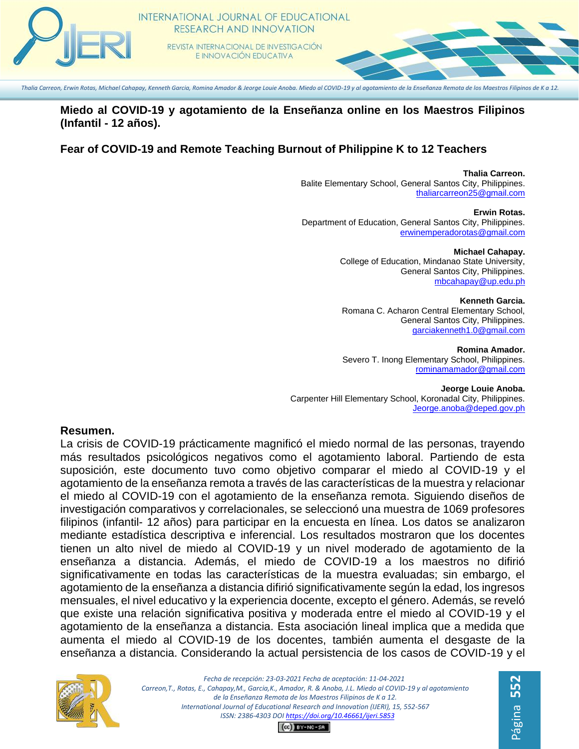

#### **Miedo al COVID-19 y agotamiento de la Enseñanza online en los Maestros Filipinos (Infantil - 12 años).**

# **Fear of COVID-19 and Remote Teaching Burnout of Philippine K to 12 Teachers**

**Thalia Carreon.** Balite Elementary School, General Santos City, Philippines. [thaliarcarreon25@gmail.com](mailto:thaliarcarreon25@gmail.com)

**Erwin Rotas.** Department of Education, General Santos City, Philippines. [erwinemperadorotas@gmail.com](mailto:erwinemperadorotas@gmail.com)

> **Michael Cahapay.** College of Education, Mindanao State University, General Santos City, Philippines. [mbcahapay@up.edu.ph](mailto:mbcahapay@up.edu.ph)

> **Kenneth Garcia.** Romana C. Acharon Central Elementary School, General Santos City, Philippines. [garciakenneth1.0@gmail.com](mailto:garciakenneth1.0@gmail.com)

> **Romina Amador.** Severo T. Inong Elementary School, Philippines. [rominamamador@gmail.com](mailto:rominamamador@gmail.com)

**Jeorge Louie Anoba.** Carpenter Hill Elementary School, Koronadal City, Philippines. [Jeorge.anoba@deped.gov.ph](mailto:Jeorge.anoba@deped.gov.ph)

#### **Resumen.**

La crisis de COVID-19 prácticamente magnificó el miedo normal de las personas, trayendo más resultados psicológicos negativos como el agotamiento laboral. Partiendo de esta suposición, este documento tuvo como objetivo comparar el miedo al COVID-19 y el agotamiento de la enseñanza remota a través de las características de la muestra y relacionar el miedo al COVID-19 con el agotamiento de la enseñanza remota. Siguiendo diseños de investigación comparativos y correlacionales, se seleccionó una muestra de 1069 profesores filipinos (infantil- 12 años) para participar en la encuesta en línea. Los datos se analizaron mediante estadística descriptiva e inferencial. Los resultados mostraron que los docentes tienen un alto nivel de miedo al COVID-19 y un nivel moderado de agotamiento de la enseñanza a distancia. Además, el miedo de COVID-19 a los maestros no difirió significativamente en todas las características de la muestra evaluadas; sin embargo, el agotamiento de la enseñanza a distancia difirió significativamente según la edad, los ingresos mensuales, el nivel educativo y la experiencia docente, excepto el género. Además, se reveló que existe una relación significativa positiva y moderada entre el miedo al COVID-19 y el agotamiento de la enseñanza a distancia. Esta asociación lineal implica que a medida que aumenta el miedo al COVID-19 de los docentes, también aumenta el desgaste de la enseñanza a distancia. Considerando la actual persistencia de los casos de COVID-19 y el



*Fecha de recepción: 23-03-2021 Fecha de aceptación: 11-04-2021 Carreon,T., Rotas, E., Cahapay,M., Garcia,K., Amador, R. & Anoba, J.L. Miedo al COVID-19 y al agotamiento de la Enseñanza Remota de los Maestros Filipinos de K a 12. International Journal of Educational Research and Innovation (IJERI), 15, 552-567 ISSN: 2386-4303 DO[I https://doi.org/10.46661/ijeri.5853](https://doi.org/10.46661/ijeri.5853)*  $CO$  $EY-NC-SA$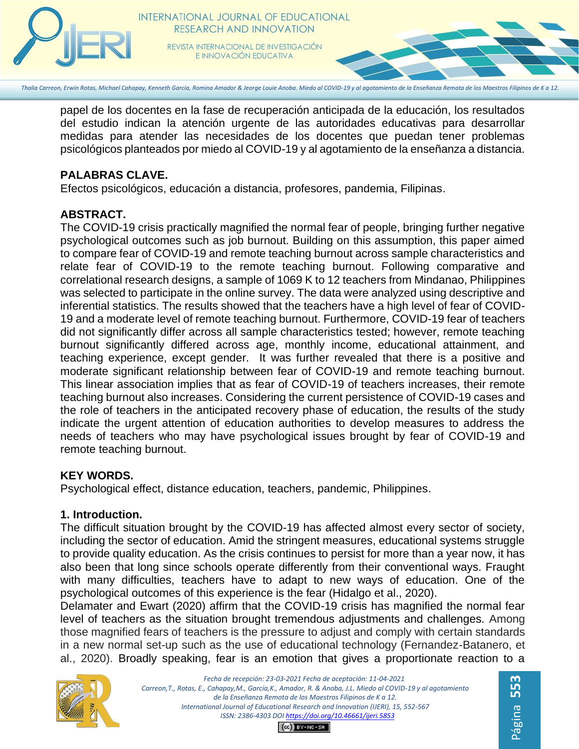

papel de los docentes en la fase de recuperación anticipada de la educación, los resultados del estudio indican la atención urgente de las autoridades educativas para desarrollar medidas para atender las necesidades de los docentes que puedan tener problemas psicológicos planteados por miedo al COVID-19 y al agotamiento de la enseñanza a distancia.

# **PALABRAS CLAVE.**

Efectos psicológicos, educación a distancia, profesores, pandemia, Filipinas.

# **ABSTRACT.**

The COVID-19 crisis practically magnified the normal fear of people, bringing further negative psychological outcomes such as job burnout. Building on this assumption, this paper aimed to compare fear of COVID-19 and remote teaching burnout across sample characteristics and relate fear of COVID-19 to the remote teaching burnout. Following comparative and correlational research designs, a sample of 1069 K to 12 teachers from Mindanao, Philippines was selected to participate in the online survey. The data were analyzed using descriptive and inferential statistics. The results showed that the teachers have a high level of fear of COVID-19 and a moderate level of remote teaching burnout. Furthermore, COVID-19 fear of teachers did not significantly differ across all sample characteristics tested; however, remote teaching burnout significantly differed across age, monthly income, educational attainment, and teaching experience, except gender. It was further revealed that there is a positive and moderate significant relationship between fear of COVID-19 and remote teaching burnout. This linear association implies that as fear of COVID-19 of teachers increases, their remote teaching burnout also increases. Considering the current persistence of COVID-19 cases and the role of teachers in the anticipated recovery phase of education, the results of the study indicate the urgent attention of education authorities to develop measures to address the needs of teachers who may have psychological issues brought by fear of COVID-19 and remote teaching burnout.

# **KEY WORDS.**

Psychological effect, distance education, teachers, pandemic, Philippines.

# **1. Introduction.**

The difficult situation brought by the COVID-19 has affected almost every sector of society, including the sector of education. Amid the stringent measures, educational systems struggle to provide quality education. As the crisis continues to persist for more than a year now, it has also been that long since schools operate differently from their conventional ways. Fraught with many difficulties, teachers have to adapt to new ways of education. One of the psychological outcomes of this experience is the fear (Hidalgo et al., 2020).

Delamater and Ewart (2020) affirm that the COVID-19 crisis has magnified the normal fear level of teachers as the situation brought tremendous adjustments and challenges. Among those magnified fears of teachers is the pressure to adjust and comply with certain standards in a new normal set-up such as the use of educational technology (Fernandez-Batanero, et al., 2020). Broadly speaking, fear is an emotion that gives a proportionate reaction to a

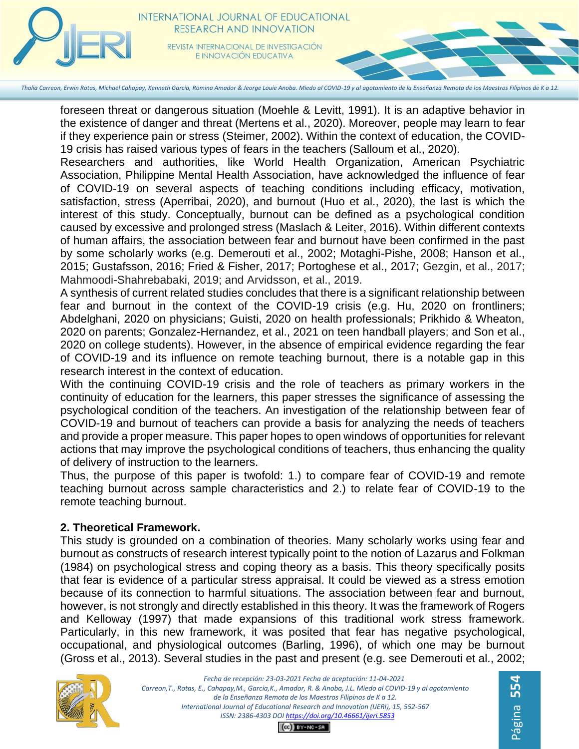

foreseen threat or dangerous situation (Moehle & Levitt, 1991). It is an adaptive behavior in the existence of danger and threat (Mertens et al., 2020). Moreover, people may learn to fear if they experience pain or stress (Steimer, 2002). Within the context of education, the COVID-19 crisis has raised various types of fears in the teachers (Salloum et al., 2020).

Researchers and authorities, like World Health Organization, American Psychiatric Association, Philippine Mental Health Association, have acknowledged the influence of fear of COVID-19 on several aspects of teaching conditions including efficacy, motivation, satisfaction, stress (Aperribai, 2020), and burnout (Huo et al., 2020), the last is which the interest of this study. Conceptually, burnout can be defined as a psychological condition caused by excessive and prolonged stress (Maslach & Leiter, 2016). Within different contexts of human affairs, the association between fear and burnout have been confirmed in the past by some scholarly works (e.g. Demerouti et al., 2002; Motaghi-Pishe, 2008; Hanson et al., 2015; Gustafsson, 2016; Fried & Fisher, 2017; Portoghese et al., 2017; Gezgin, et al., 2017; Mahmoodi-Shahrebabaki, 2019; and Arvidsson, et al., 2019.

A synthesis of current related studies concludes that there is a significant relationship between fear and burnout in the context of the COVID-19 crisis (e.g. Hu, 2020 on frontliners; Abdelghani, 2020 on physicians; Guisti, 2020 on health professionals; Prikhido & Wheaton, 2020 on parents; Gonzalez-Hernandez, et al., 2021 on teen handball players; and Son et al., 2020 on college students). However, in the absence of empirical evidence regarding the fear of COVID-19 and its influence on remote teaching burnout, there is a notable gap in this research interest in the context of education.

With the continuing COVID-19 crisis and the role of teachers as primary workers in the continuity of education for the learners, this paper stresses the significance of assessing the psychological condition of the teachers. An investigation of the relationship between fear of COVID-19 and burnout of teachers can provide a basis for analyzing the needs of teachers and provide a proper measure. This paper hopes to open windows of opportunities for relevant actions that may improve the psychological conditions of teachers, thus enhancing the quality of delivery of instruction to the learners.

Thus, the purpose of this paper is twofold: 1.) to compare fear of COVID-19 and remote teaching burnout across sample characteristics and 2.) to relate fear of COVID-19 to the remote teaching burnout.

#### **2. Theoretical Framework.**

This study is grounded on a combination of theories. Many scholarly works using fear and burnout as constructs of research interest typically point to the notion of Lazarus and Folkman (1984) on psychological stress and coping theory as a basis. This theory specifically posits that fear is evidence of a particular stress appraisal. It could be viewed as a stress emotion because of its connection to harmful situations. The association between fear and burnout, however, is not strongly and directly established in this theory. It was the framework of Rogers and Kelloway (1997) that made expansions of this traditional work stress framework. Particularly, in this new framework, it was posited that fear has negative psychological, occupational, and physiological outcomes (Barling, 1996), of which one may be burnout (Gross et al., 2013). Several studies in the past and present (e.g. see Demerouti et al., 2002;

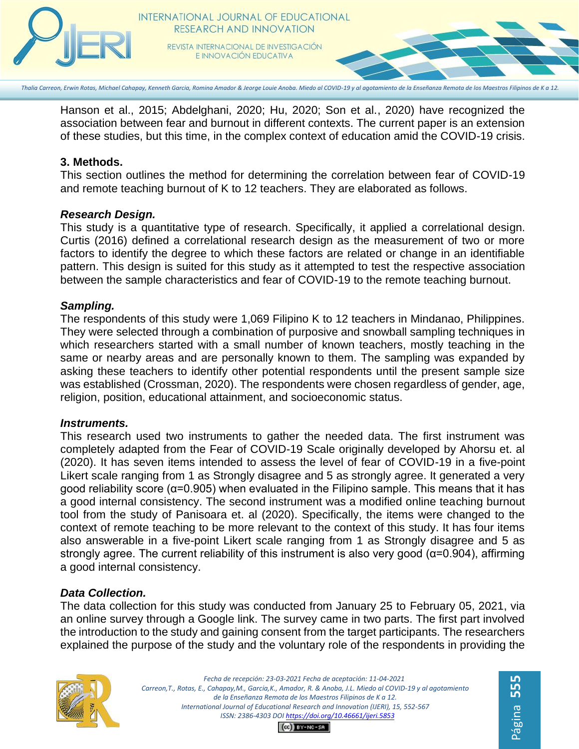

#### INTERNATIONAL JOURNAL OF EDUCATIONAL RESEARCH AND INNOVATION REVISTA INTERNACIONAL DE INVESTIGACIÓN

E INNOVACIÓN EDUCATIVA

*Thalia Carreon, Erwin Rotas, Michael Cahapay, Kenneth Garcia, Romina Amador & Jeorge Louie Anoba. Miedo al COVID-19 y al agotamiento de la Enseñanza Remota de los Maestros Filipinos de K a 12.*

Hanson et al., 2015; Abdelghani, 2020; Hu, 2020; Son et al., 2020) have recognized the association between fear and burnout in different contexts. The current paper is an extension of these studies, but this time, in the complex context of education amid the COVID-19 crisis.

#### **3. Methods.**

This section outlines the method for determining the correlation between fear of COVID-19 and remote teaching burnout of K to 12 teachers. They are elaborated as follows.

#### *Research Design.*

This study is a quantitative type of research. Specifically, it applied a correlational design. Curtis (2016) defined a correlational research design as the measurement of two or more factors to identify the degree to which these factors are related or change in an identifiable pattern. This design is suited for this study as it attempted to test the respective association between the sample characteristics and fear of COVID-19 to the remote teaching burnout.

#### *Sampling.*

The respondents of this study were 1,069 Filipino K to 12 teachers in Mindanao, Philippines. They were selected through a combination of purposive and snowball sampling techniques in which researchers started with a small number of known teachers, mostly teaching in the same or nearby areas and are personally known to them. The sampling was expanded by asking these teachers to identify other potential respondents until the present sample size was established (Crossman, 2020). The respondents were chosen regardless of gender, age, religion, position, educational attainment, and socioeconomic status.

#### *Instruments.*

This research used two instruments to gather the needed data. The first instrument was completely adapted from the Fear of COVID-19 Scale originally developed by Ahorsu et. al (2020). It has seven items intended to assess the level of fear of COVID-19 in a five-point Likert scale ranging from 1 as Strongly disagree and 5 as strongly agree. It generated a very good reliability score ( $\alpha$ =0.905) when evaluated in the Filipino sample. This means that it has a good internal consistency. The second instrument was a modified online teaching burnout tool from the study of Panisoara et. al (2020). Specifically, the items were changed to the context of remote teaching to be more relevant to the context of this study. It has four items also answerable in a five-point Likert scale ranging from 1 as Strongly disagree and 5 as strongly agree. The current reliability of this instrument is also very good (α=0.904), affirming a good internal consistency.

# *Data Collection.*

The data collection for this study was conducted from January 25 to February 05, 2021, via an online survey through a Google link. The survey came in two parts. The first part involved the introduction to the study and gaining consent from the target participants. The researchers explained the purpose of the study and the voluntary role of the respondents in providing the



*Fecha de recepción: 23-03-2021 Fecha de aceptación: 11-04-2021 Carreon,T., Rotas, E., Cahapay,M., Garcia,K., Amador, R. & Anoba, J.L. Miedo al COVID-19 y al agotamiento de la Enseñanza Remota de los Maestros Filipinos de K a 12. International Journal of Educational Research and Innovation (IJERI), 15, 552-567 ISSN: 2386-4303 DO[I https://doi.org/10.46661/ijeri.5853](https://doi.org/10.46661/ijeri.5853)*

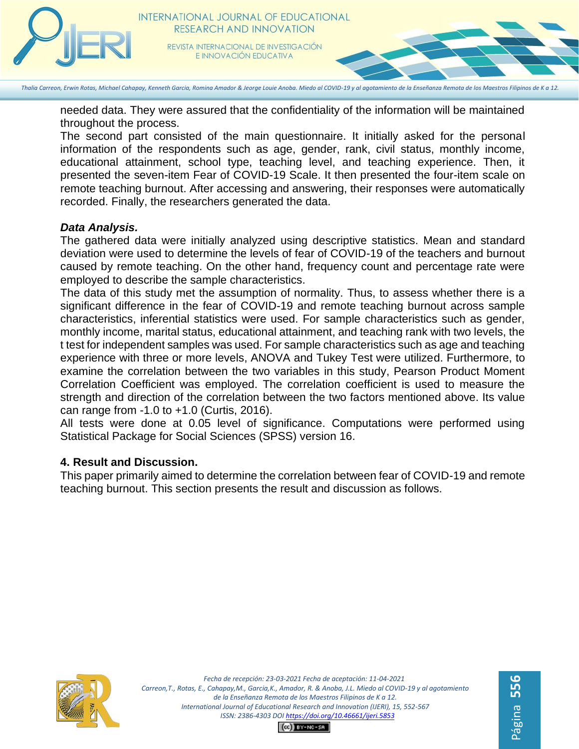

needed data. They were assured that the confidentiality of the information will be maintained throughout the process.

The second part consisted of the main questionnaire. It initially asked for the personal information of the respondents such as age, gender, rank, civil status, monthly income, educational attainment, school type, teaching level, and teaching experience. Then, it presented the seven-item Fear of COVID-19 Scale. It then presented the four-item scale on remote teaching burnout. After accessing and answering, their responses were automatically recorded. Finally, the researchers generated the data.

#### *Data Analysis.*

The gathered data were initially analyzed using descriptive statistics. Mean and standard deviation were used to determine the levels of fear of COVID-19 of the teachers and burnout caused by remote teaching. On the other hand, frequency count and percentage rate were employed to describe the sample characteristics.

The data of this study met the assumption of normality. Thus, to assess whether there is a significant difference in the fear of COVID-19 and remote teaching burnout across sample characteristics, inferential statistics were used. For sample characteristics such as gender, monthly income, marital status, educational attainment, and teaching rank with two levels, the t test for independent samples was used. For sample characteristics such as age and teaching experience with three or more levels, ANOVA and Tukey Test were utilized. Furthermore, to examine the correlation between the two variables in this study, Pearson Product Moment Correlation Coefficient was employed. The correlation coefficient is used to measure the strength and direction of the correlation between the two factors mentioned above. Its value can range from -1.0 to +1.0 (Curtis, 2016).

All tests were done at 0.05 level of significance. Computations were performed using Statistical Package for Social Sciences (SPSS) version 16.

# **4. Result and Discussion.**

This paper primarily aimed to determine the correlation between fear of COVID-19 and remote teaching burnout. This section presents the result and discussion as follows.



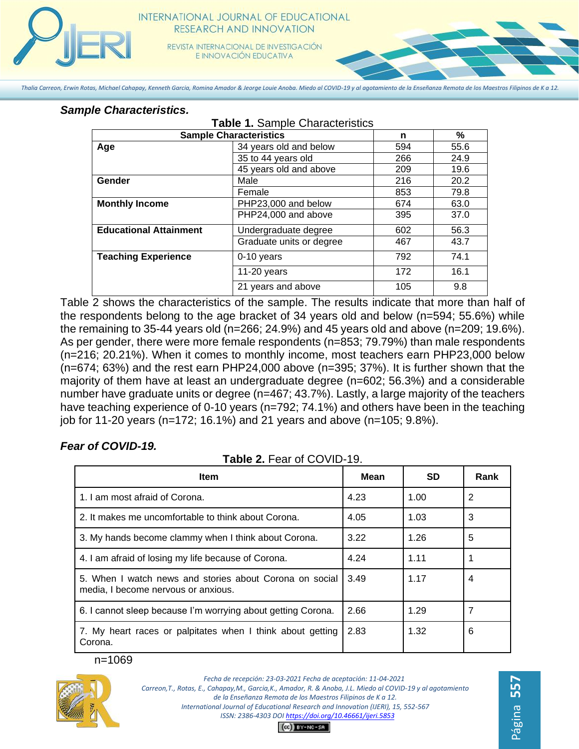

# **INTERNATIONAL JOURNAL OF EDUCATIONAL** RESEARCH AND INNOVATION

REVISTA INTERNACIONAL DE INVESTIGACIÓN E INNOVACIÓN EDUCATIVA

*Thalia Carreon, Erwin Rotas, Michael Cahapay, Kenneth Garcia, Romina Amador & Jeorge Louie Anoba. Miedo al COVID-19 y al agotamiento de la Enseñanza Remota de los Maestros Filipinos de K a 12.*

#### *Sample Characteristics.*

| <b>Table 1. Sample Characteristics</b> |                          |     |      |
|----------------------------------------|--------------------------|-----|------|
| <b>Sample Characteristics</b>          |                          | n   | %    |
| Age                                    | 34 years old and below   | 594 | 55.6 |
|                                        | 35 to 44 years old       | 266 | 24.9 |
|                                        | 45 years old and above   | 209 | 19.6 |
| Gender                                 | Male                     | 216 | 20.2 |
|                                        | Female                   | 853 | 79.8 |
| <b>Monthly Income</b>                  | PHP23,000 and below      | 674 | 63.0 |
|                                        | PHP24,000 and above      | 395 | 37.0 |
| <b>Educational Attainment</b>          | Undergraduate degree     | 602 | 56.3 |
|                                        | Graduate units or degree | 467 | 43.7 |
| <b>Teaching Experience</b>             | 0-10 years               | 792 | 74.1 |
|                                        | $11-20$ years            | 172 | 16.1 |
|                                        | 21 years and above       | 105 | 9.8  |

Table 2 shows the characteristics of the sample. The results indicate that more than half of the respondents belong to the age bracket of 34 years old and below (n=594; 55.6%) while the remaining to 35-44 years old (n=266; 24.9%) and 45 years old and above (n=209; 19.6%). As per gender, there were more female respondents (n=853; 79.79%) than male respondents (n=216; 20.21%). When it comes to monthly income, most teachers earn PHP23,000 below (n=674; 63%) and the rest earn PHP24,000 above (n=395; 37%). It is further shown that the majority of them have at least an undergraduate degree (n=602; 56.3%) and a considerable number have graduate units or degree (n=467; 43.7%). Lastly, a large majority of the teachers have teaching experience of 0-10 years (n=792; 74.1%) and others have been in the teaching job for 11-20 years (n=172; 16.1%) and 21 years and above (n=105; 9.8%).

# *Fear of COVID-19.*

**Table 2.** Fear of COVID-19.

| <b>Item</b>                                                                                    | Mean | <b>SD</b> | Rank           |
|------------------------------------------------------------------------------------------------|------|-----------|----------------|
| 1. I am most afraid of Corona.                                                                 | 4.23 | 1.00      | $\overline{2}$ |
| 2. It makes me uncomfortable to think about Corona.                                            | 4.05 | 1.03      | 3              |
| 3. My hands become clammy when I think about Corona.                                           | 3.22 | 1.26      | 5              |
| 4. I am afraid of losing my life because of Corona.                                            | 4.24 | 1.11      |                |
| 5. When I watch news and stories about Corona on social<br>media, I become nervous or anxious. | 3.49 | 1.17      | 4              |
| 6. I cannot sleep because I'm worrying about getting Corona.                                   | 2.66 | 1.29      | 7              |
| 7. My heart races or palpitates when I think about getting<br>Corona.                          | 2.83 | 1.32      | 6              |

n=1069



*Fecha de recepción: 23-03-2021 Fecha de aceptación: 11-04-2021 Carreon,T., Rotas, E., Cahapay,M., Garcia,K., Amador, R. & Anoba, J.L. Miedo al COVID-19 y al agotamiento de la Enseñanza Remota de los Maestros Filipinos de K a 12. International Journal of Educational Research and Innovation (IJERI), 15, 552-567 ISSN: 2386-4303 DO[I https://doi.org/10.46661/ijeri.5853](https://doi.org/10.46661/ijeri.5853)*  $CO$  $EY-NC-SA$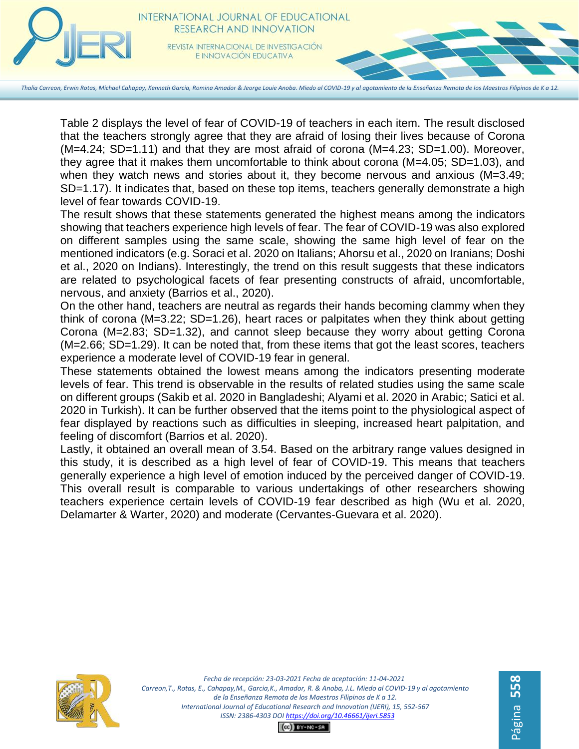

Table 2 displays the level of fear of COVID-19 of teachers in each item. The result disclosed that the teachers strongly agree that they are afraid of losing their lives because of Corona (M=4.24; SD=1.11) and that they are most afraid of corona (M=4.23; SD=1.00). Moreover, they agree that it makes them uncomfortable to think about corona (M=4.05; SD=1.03), and when they watch news and stories about it, they become nervous and anxious (M=3.49; SD=1.17). It indicates that, based on these top items, teachers generally demonstrate a high level of fear towards COVID-19.

The result shows that these statements generated the highest means among the indicators showing that teachers experience high levels of fear. The fear of COVID-19 was also explored on different samples using the same scale, showing the same high level of fear on the mentioned indicators (e.g. Soraci et al. 2020 on Italians; Ahorsu et al., 2020 on Iranians; Doshi et al., 2020 on Indians). Interestingly, the trend on this result suggests that these indicators are related to psychological facets of fear presenting constructs of afraid, uncomfortable, nervous, and anxiety (Barrios et al., 2020).

On the other hand, teachers are neutral as regards their hands becoming clammy when they think of corona (M=3.22; SD=1.26), heart races or palpitates when they think about getting Corona (M=2.83; SD=1.32), and cannot sleep because they worry about getting Corona (M=2.66; SD=1.29). It can be noted that, from these items that got the least scores, teachers experience a moderate level of COVID-19 fear in general.

These statements obtained the lowest means among the indicators presenting moderate levels of fear. This trend is observable in the results of related studies using the same scale on different groups (Sakib et al. 2020 in Bangladeshi; Alyami et al. 2020 in Arabic; Satici et al. 2020 in Turkish). It can be further observed that the items point to the physiological aspect of fear displayed by reactions such as difficulties in sleeping, increased heart palpitation, and feeling of discomfort (Barrios et al. 2020).

Lastly, it obtained an overall mean of 3.54. Based on the arbitrary range values designed in this study, it is described as a high level of fear of COVID-19. This means that teachers generally experience a high level of emotion induced by the perceived danger of COVID-19. This overall result is comparable to various undertakings of other researchers showing teachers experience certain levels of COVID-19 fear described as high (Wu et al. 2020, Delamarter & Warter, 2020) and moderate (Cervantes-Guevara et al. 2020).

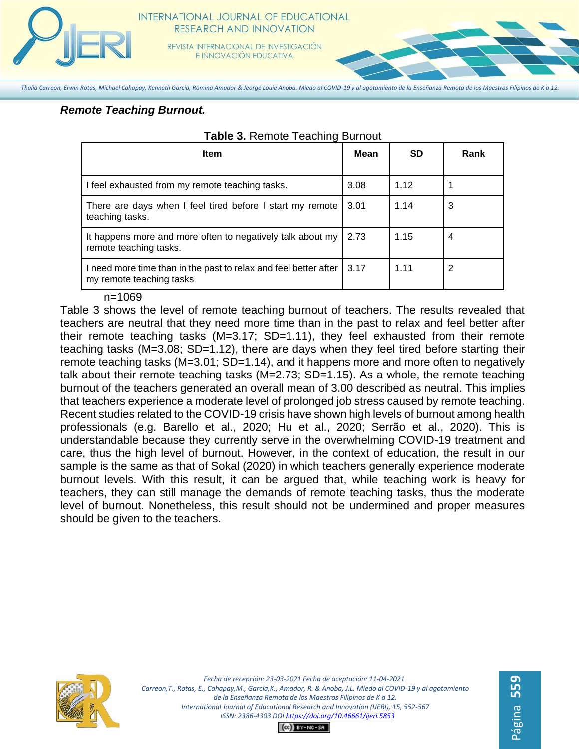

REVISTA INTERNACIONAL DE INVESTIGACIÓN E INNOVACIÓN EDUCATIVA

*Thalia Carreon, Erwin Rotas, Michael Cahapay, Kenneth Garcia, Romina Amador & Jeorge Louie Anoba. Miedo al COVID-19 y al agotamiento de la Enseñanza Remota de los Maestros Filipinos de K a 12.*

# *Remote Teaching Burnout.*

| <b>Item</b>                                                                                  | Mean | <b>SD</b> | Rank |
|----------------------------------------------------------------------------------------------|------|-----------|------|
| I feel exhausted from my remote teaching tasks.                                              | 3.08 | 1.12      |      |
| There are days when I feel tired before I start my remote<br>teaching tasks.                 | 3.01 | 1.14      | 3    |
| It happens more and more often to negatively talk about my<br>remote teaching tasks.         | 2.73 | 1.15      | 4    |
| I need more time than in the past to relax and feel better after<br>my remote teaching tasks | 3.17 | 1.11      | 2    |

#### **Table 3.** Remote Teaching Burnout

#### n=1069

Table 3 shows the level of remote teaching burnout of teachers. The results revealed that teachers are neutral that they need more time than in the past to relax and feel better after their remote teaching tasks (M=3.17; SD=1.11), they feel exhausted from their remote teaching tasks (M=3.08; SD=1.12), there are days when they feel tired before starting their remote teaching tasks (M=3.01; SD=1.14), and it happens more and more often to negatively talk about their remote teaching tasks (M=2.73; SD=1.15). As a whole, the remote teaching burnout of the teachers generated an overall mean of 3.00 described as neutral. This implies that teachers experience a moderate level of prolonged job stress caused by remote teaching. Recent studies related to the COVID-19 crisis have shown high levels of burnout among health professionals (e.g. Barello et al., 2020; Hu et al., 2020; Serrão et al., 2020). This is understandable because they currently serve in the overwhelming COVID-19 treatment and care, thus the high level of burnout. However, in the context of education, the result in our sample is the same as that of Sokal (2020) in which teachers generally experience moderate burnout levels. With this result, it can be argued that, while teaching work is heavy for teachers, they can still manage the demands of remote teaching tasks, thus the moderate level of burnout. Nonetheless, this result should not be undermined and proper measures should be given to the teachers.



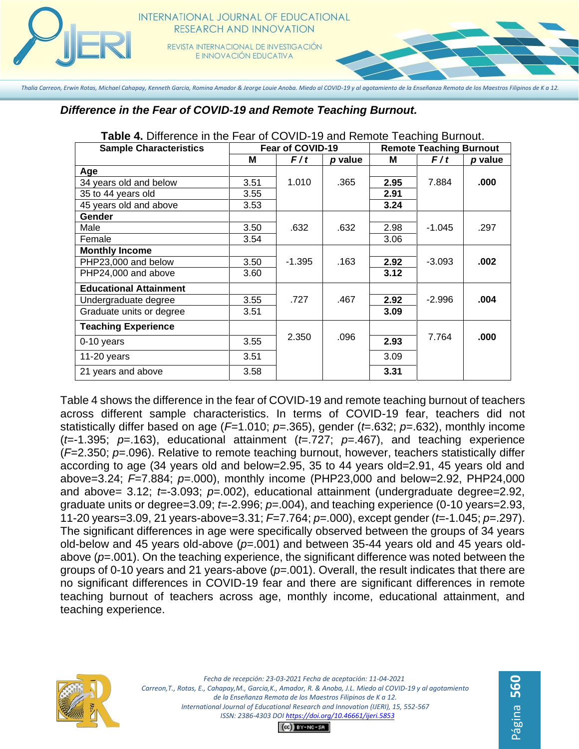

# **INTERNATIONAL JOURNAL OF EDUCATIONAL** RESEARCH AND INNOVATION

REVISTA INTERNACIONAL DE INVESTIGACIÓN E INNOVACIÓN EDUCATIVA

*Thalia Carreon, Erwin Rotas, Michael Cahapay, Kenneth Garcia, Romina Amador & Jeorge Louie Anoba. Miedo al COVID-19 y al agotamiento de la Enseñanza Remota de los Maestros Filipinos de K a 12.*

*Difference in the Fear of COVID-19 and Remote Teaching Burnout.*

| <b>Sample Characteristics</b> | Fear of COVID-19 |          | <b>Remote Teaching Burnout</b> |      |          |         |
|-------------------------------|------------------|----------|--------------------------------|------|----------|---------|
|                               | М                | F/t      | p value                        | Μ    | F/t      | p value |
| Age                           |                  |          |                                |      |          |         |
| 34 years old and below        | 3.51             | 1.010    | .365                           | 2.95 | 7.884    | .000    |
| 35 to 44 years old            | 3.55             |          |                                | 2.91 |          |         |
| 45 years old and above        | 3.53             |          |                                | 3.24 |          |         |
| Gender                        |                  |          |                                |      |          |         |
| Male                          | 3.50             | .632     | .632                           | 2.98 | $-1.045$ | .297    |
| Female                        | 3.54             |          |                                | 3.06 |          |         |
| <b>Monthly Income</b>         |                  |          |                                |      |          |         |
| PHP23,000 and below           | 3.50             | $-1.395$ | .163                           | 2.92 | $-3.093$ | .002    |
| PHP24,000 and above           | 3.60             |          |                                | 3.12 |          |         |
| <b>Educational Attainment</b> |                  |          |                                |      |          |         |
| Undergraduate degree          | 3.55             | .727     | .467                           | 2.92 | $-2.996$ | .004    |
| Graduate units or degree      | 3.51             |          |                                | 3.09 |          |         |
| <b>Teaching Experience</b>    |                  |          |                                |      |          |         |
| $0-10$ years                  | 3.55             | 2.350    | .096                           | 2.93 | 7.764    | .000    |
| 11-20 years                   | 3.51             |          |                                | 3.09 |          |         |
| 21 years and above            | 3.58             |          |                                | 3.31 |          |         |

**Table 4.** Difference in the Fear of COVID-19 and Remote Teaching Burnout.

Table 4 shows the difference in the fear of COVID-19 and remote teaching burnout of teachers across different sample characteristics. In terms of COVID-19 fear, teachers did not statistically differ based on age (*F*=1.010; *p*=.365), gender (*t*=.632; *p*=.632), monthly income (*t*=-1.395; *p*=.163), educational attainment (*t*=.727; *p*=.467), and teaching experience (*F*=2.350; *p*=.096). Relative to remote teaching burnout, however, teachers statistically differ according to age (34 years old and below=2.95, 35 to 44 years old=2.91, 45 years old and above=3.24; *F*=7.884; *p*=.000), monthly income (PHP23,000 and below=2.92, PHP24,000 and above= 3.12; *t*=-3.093; *p*=.002), educational attainment (undergraduate degree=2.92, graduate units or degree=3.09; *t*=-2.996; *p*=.004), and teaching experience (0-10 years=2.93, 11-20 years=3.09, 21 years-above=3.31; *F*=7.764; *p*=.000), except gender (*t*=-1.045; *p*=.297). The significant differences in age were specifically observed between the groups of 34 years old-below and 45 years old-above (*p*=.001) and between 35-44 years old and 45 years oldabove (*p*=.001). On the teaching experience, the significant difference was noted between the groups of 0-10 years and 21 years-above (*p*=.001). Overall, the result indicates that there are no significant differences in COVID-19 fear and there are significant differences in remote teaching burnout of teachers across age, monthly income, educational attainment, and teaching experience.



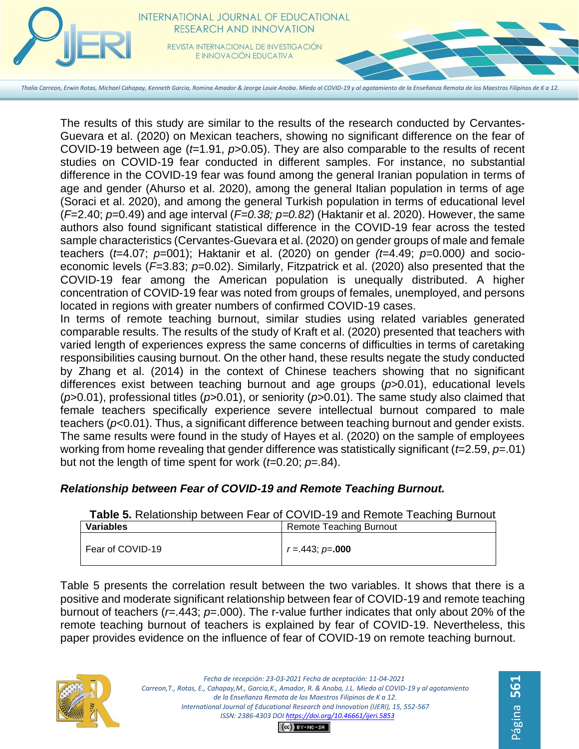

The results of this study are similar to the results of the research conducted by Cervantes-Guevara et al. (2020) on Mexican teachers, showing no significant difference on the fear of COVID-19 between age (*t*=1.91, *p*>0.05). They are also comparable to the results of recent studies on COVID-19 fear conducted in different samples. For instance, no substantial difference in the COVID-19 fear was found among the general Iranian population in terms of age and gender (Ahurso et al. 2020), among the general Italian population in terms of age (Soraci et al. 2020), and among the general Turkish population in terms of educational level (*F*=2.40; *p*=0.49) and age interval (*F=0.38; p=0.82*) (Haktanir et al. 2020). However, the same authors also found significant statistical difference in the COVID-19 fear across the tested sample characteristics (Cervantes-Guevara et al. (2020) on gender groups of male and female teachers (*t*=4.07; *p*=001); Haktanir et al. (2020) on gender *(t*=4.49; *p*=0.000*)* and socioeconomic levels (*F*=3.83; *p*=0.02). Similarly, Fitzpatrick et al. (2020) also presented that the COVID-19 fear among the American population is unequally distributed. A higher concentration of COVID-19 fear was noted from groups of females, unemployed, and persons located in regions with greater numbers of confirmed COVID-19 cases.

In terms of remote teaching burnout, similar studies using related variables generated comparable results. The results of the study of Kraft et al. (2020) presented that teachers with varied length of experiences express the same concerns of difficulties in terms of caretaking responsibilities causing burnout. On the other hand, these results negate the study conducted by Zhang et al. (2014) in the context of Chinese teachers showing that no significant differences exist between teaching burnout and age groups (*p*>0.01), educational levels (*p*>0.01), professional titles (*p*>0.01), or seniority (*p*>0.01). The same study also claimed that female teachers specifically experience severe intellectual burnout compared to male teachers (*p*<0.01). Thus, a significant difference between teaching burnout and gender exists. The same results were found in the study of Hayes et al. (2020) on the sample of employees working from home revealing that gender difference was statistically significant (*t*=2.59, *p*=.01) but not the length of time spent for work (*t*=0.20; *p*=.84).

# *Relationship between Fear of COVID-19 and Remote Teaching Burnout.*

|                  | <b>TWAIS OF INSIGNATION IS SOUTHERN TO A TO AND TRANSPORT IS SEEN TO A THE STATE OF STATE IS STATENT.</b> |
|------------------|-----------------------------------------------------------------------------------------------------------|
| <b>Variables</b> | Remote Teaching Burnout                                                                                   |
| Fear of COVID-19 | $r = 443$ ; $p = 000$                                                                                     |

# **Table 5.** Relationship between Fear of COVID-19 and Remote Teaching Burnout

Table 5 presents the correlation result between the two variables. It shows that there is a positive and moderate significant relationship between fear of COVID-19 and remote teaching burnout of teachers (*r*=.443; *p*=.000). The r-value further indicates that only about 20% of the remote teaching burnout of teachers is explained by fear of COVID-19. Nevertheless, this paper provides evidence on the influence of fear of COVID-19 on remote teaching burnout.

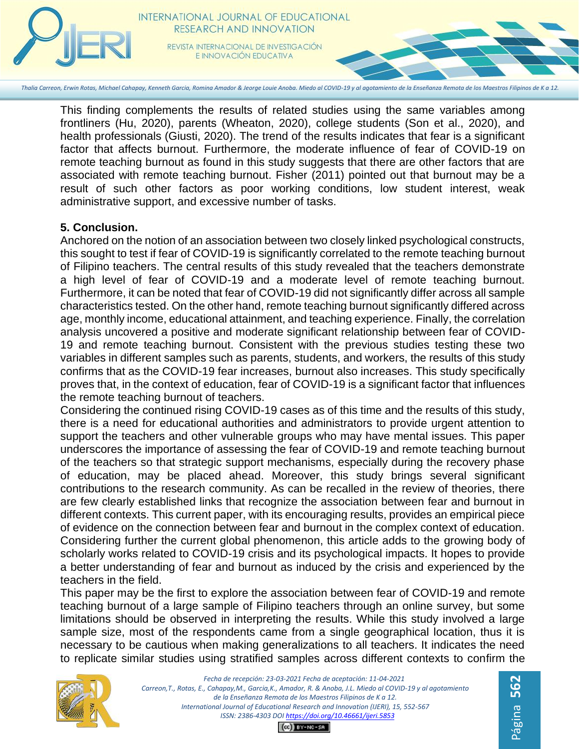

This finding complements the results of related studies using the same variables among frontliners (Hu, 2020), parents (Wheaton, 2020), college students (Son et al., 2020), and health professionals (Giusti, 2020). The trend of the results indicates that fear is a significant factor that affects burnout. Furthermore, the moderate influence of fear of COVID-19 on remote teaching burnout as found in this study suggests that there are other factors that are associated with remote teaching burnout. Fisher (2011) pointed out that burnout may be a result of such other factors as poor working conditions, low student interest, weak administrative support, and excessive number of tasks.

# **5. Conclusion.**

Anchored on the notion of an association between two closely linked psychological constructs, this sought to test if fear of COVID-19 is significantly correlated to the remote teaching burnout of Filipino teachers. The central results of this study revealed that the teachers demonstrate a high level of fear of COVID-19 and a moderate level of remote teaching burnout. Furthermore, it can be noted that fear of COVID-19 did not significantly differ across all sample characteristics tested. On the other hand, remote teaching burnout significantly differed across age, monthly income, educational attainment, and teaching experience. Finally, the correlation analysis uncovered a positive and moderate significant relationship between fear of COVID-19 and remote teaching burnout. Consistent with the previous studies testing these two variables in different samples such as parents, students, and workers, the results of this study confirms that as the COVID-19 fear increases, burnout also increases. This study specifically proves that, in the context of education, fear of COVID-19 is a significant factor that influences the remote teaching burnout of teachers.

Considering the continued rising COVID-19 cases as of this time and the results of this study, there is a need for educational authorities and administrators to provide urgent attention to support the teachers and other vulnerable groups who may have mental issues. This paper underscores the importance of assessing the fear of COVID-19 and remote teaching burnout of the teachers so that strategic support mechanisms, especially during the recovery phase of education, may be placed ahead. Moreover, this study brings several significant contributions to the research community. As can be recalled in the review of theories, there are few clearly established links that recognize the association between fear and burnout in different contexts. This current paper, with its encouraging results, provides an empirical piece of evidence on the connection between fear and burnout in the complex context of education. Considering further the current global phenomenon, this article adds to the growing body of scholarly works related to COVID-19 crisis and its psychological impacts. It hopes to provide a better understanding of fear and burnout as induced by the crisis and experienced by the teachers in the field.

This paper may be the first to explore the association between fear of COVID-19 and remote teaching burnout of a large sample of Filipino teachers through an online survey, but some limitations should be observed in interpreting the results. While this study involved a large sample size, most of the respondents came from a single geographical location, thus it is necessary to be cautious when making generalizations to all teachers. It indicates the need to replicate similar studies using stratified samples across different contexts to confirm the



*Fecha de recepción: 23-03-2021 Fecha de aceptación: 11-04-2021 Carreon,T., Rotas, E., Cahapay,M., Garcia,K., Amador, R. & Anoba, J.L. Miedo al COVID-19 y al agotamiento de la Enseñanza Remota de los Maestros Filipinos de K a 12. International Journal of Educational Research and Innovation (IJERI), 15, 552-567 ISSN: 2386-4303 DO[I https://doi.org/10.46661/ijeri.5853](https://doi.org/10.46661/ijeri.5853)*

Página **562**

 $CO$  $EY-NC-SA$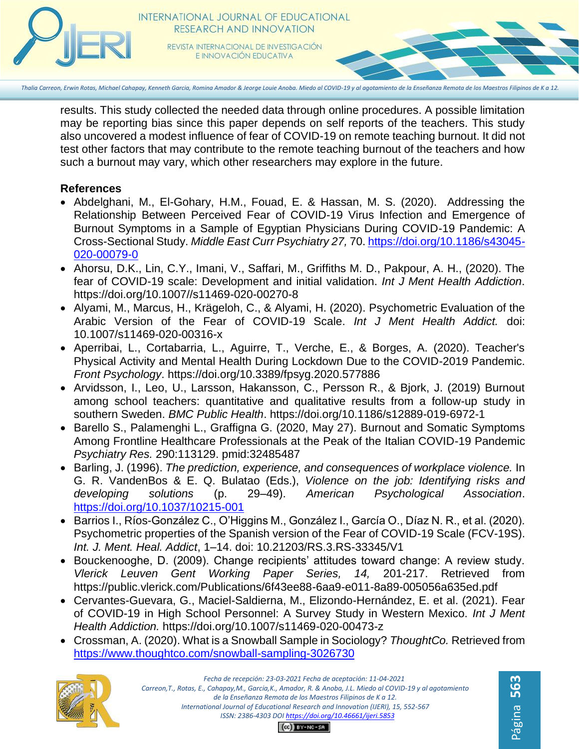

results. This study collected the needed data through online procedures. A possible limitation may be reporting bias since this paper depends on self reports of the teachers. This study also uncovered a modest influence of fear of COVID-19 on remote teaching burnout. It did not test other factors that may contribute to the remote teaching burnout of the teachers and how such a burnout may vary, which other researchers may explore in the future.

# **References**

- Abdelghani, M., El-Gohary, H.M., Fouad, E. & Hassan, M. S. (2020). Addressing the Relationship Between Perceived Fear of COVID-19 Virus Infection and Emergence of Burnout Symptoms in a Sample of Egyptian Physicians During COVID-19 Pandemic: A Cross-Sectional Study. *Middle East Curr Psychiatry 27,* 70. [https://doi.org/10.1186/s43045-](https://doi.org/10.1186/s43045-020-00079-0) [020-00079-0](https://doi.org/10.1186/s43045-020-00079-0)
- Ahorsu, D.K., Lin, C.Y., Imani, V., Saffari, M., Griffiths M. D., Pakpour, A. H., (2020). The fear of COVID-19 scale: Development and initial validation. *Int J Ment Health Addiction*[.](https://doi.org/10.1007/s11469-020-00270-8) [https://doi.org/10.1007//s11469-020-00270-8](https://doi.org/10.1007/s11469-020-00270-8)
- Alyami, M., Marcus, H., Krägeloh, C., & Alyami, H. (2020). [Psychometric Evaluation of the](https://www.ncbi.nlm.nih.gov/pmc/articles/PMC7229877/)  [Arabic Version of the Fear of COVID-19 Scale.](https://www.ncbi.nlm.nih.gov/pmc/articles/PMC7229877/) *Int J Ment Health Addict.* doi: 10.1007/s11469-020-00316-x
- Aperribai, L., Cortabarria, L., Aguirre, T., Verche, E., & Borges, A. (2020). Teacher's Physical Activity and Mental Health During Lockdown Due to the COVID-2019 Pandemic. *Front Psychology*. https://doi.org/10.3389/fpsyg.2020.577886
- Arvidsson, I., Leo, U., Larsson, Hakansson, C., Persson R., & Bjork, J. (2019) Burnout among school teachers: quantitative and qualitative results from a follow-up study in southern Sweden. *BMC Public Health*. <https://doi.org/10.1186/s12889-019-6972-1>
- Barello S., Palamenghi L., Graffigna G. (2020, May 27). Burnout and Somatic Symptoms Among Frontline Healthcare Professionals at the Peak of the Italian COVID-19 Pandemic *Psychiatry Res.* 290:113129. pmid:32485487
- Barling, J. (1996). *The prediction, experience, and consequences of workplace violence.* In G. R. VandenBos & E. Q. Bulatao (Eds.), *Violence on the job: Identifying risks and developing solutions* (p. 29–49). *American Psychological Association*. [https://doi.org/10.1037/10215-001](https://psycnet.apa.org/doi/10.1037/10215-001)
- Barrios I., Ríos-González C., O'Higgins M., González I., García O., Díaz N. R., et al. (2020). Psychometric properties of the Spanish version of the Fear of COVID-19 Scale (FCV-19S). *Int. J. Ment. Heal. Addict*, 1–14. doi: 10.21203/RS.3.RS-33345/V1
- Bouckenooghe, D. (2009). Change recipients' attitudes toward change: A review study. *Vlerick Leuven Gent Working Paper Series, 14,* 201-217. Retrieved from <https://public.vlerick.com/Publications/6f43ee88-6aa9-e011-8a89-005056a635ed.pdf>
- Cervantes-Guevara, G., Maciel-Saldierna, M., Elizondo-Hernández, E. et al. (2021). Fear of COVID-19 in High School Personnel: A Survey Study in Western Mexico. *Int J Ment Health Addiction.* <https://doi.org/10.1007/s11469-020-00473-z>
- Crossman, A. (2020). What is a Snowball Sample in Sociology? *ThoughtCo.* Retrieved fro[m](https://www.thoughtco.com/snowball-sampling-3026730) <https://www.thoughtco.com/snowball-sampling-3026730>



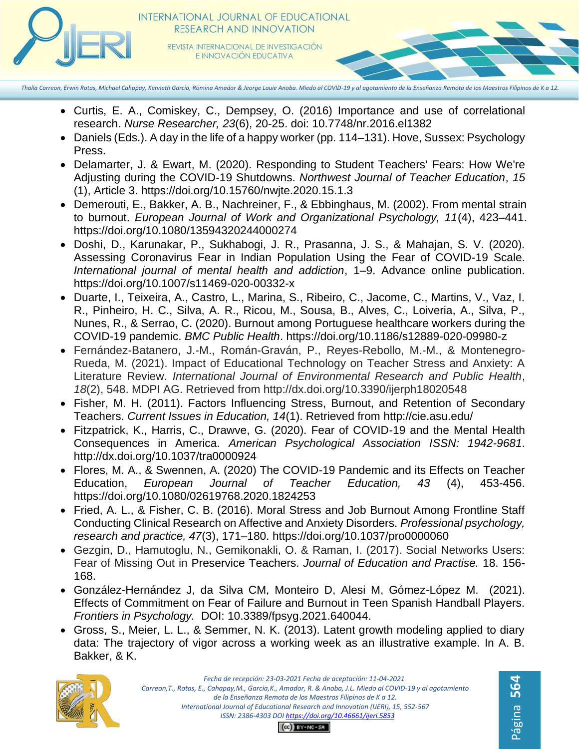

- Curtis, E. A., Comiskey, C., Dempsey, O. (2016) Importance and use of correlational research. *Nurse Researcher, 23*(6), 20-25. doi: 10.7748/nr.2016.el1382
- Daniels (Eds.). A day in the life of a happy worker (pp. 114–131). Hove, Sussex: Psychology Press.
- Delamarter, J. & Ewart, M. (2020). Responding to Student Teachers' Fears: How We're Adjusting during the COVID-19 Shutdowns. *Northwest Journal of Teacher Education*, *15* (1), Article 3. https://doi.org/10.15760/nwjte.2020.15.1.3
- Demerouti, E., Bakker, A. B., Nachreiner, F., & Ebbinghaus, M. (2002). From mental strain to burnout. *European Journal of Work and Organizational Psychology, 11*(4), 423–441. [https://doi.org/10.1080/13594320244000274](https://psycnet.apa.org/doi/10.1080/13594320244000274)
- Doshi, D., Karunakar, P., Sukhabogi, J. R., Prasanna, J. S., & Mahajan, S. V. (2020). Assessing Coronavirus Fear in Indian Population Using the Fear of COVID-19 Scale. *International journal of mental health and addiction*, 1–9. Advance online publication. https://doi.org/10.1007/s11469-020-00332-x
- Duarte, I., Teixeira, A., Castro, L., Marina, S., Ribeiro, C., Jacome, C., Martins, V., Vaz, I. R., Pinheiro, H. C., Silva, A. R., Ricou, M., Sousa, B., Alves, C., Loiveria, A., Silva, P., Nunes, R., & Serrao, C. (2020). Burnout among Portuguese healthcare workers during the COVID-19 pandemic. *BMC Public Health*.<https://doi.org/10.1186/s12889-020-09980-z>
- Fernández-Batanero, J.-M., Román-Graván, P., Reyes-Rebollo, M.-M., & Montenegro-Rueda, M. (2021). Impact of Educational Technology on Teacher Stress and Anxiety: A Literature Review. *International Journal of Environmental Research and Public Health*, *18*(2), 548. MDPI AG. Retrieved from http://dx.doi.org/10.3390/ijerph18020548
- Fisher, M. H. (2011). Factors Influencing Stress, Burnout, and Retention of Secondary Teachers. *Current Issues in Education, 14*(1). Retrieved from<http://cie.asu.edu/>
- Fitzpatrick, K., Harris, C., Drawve, G. (2020). Fear of COVID-19 and the Mental Health Consequences in America. *American Psychological Association ISSN: 1942-9681*. http://dx.doi.org/10.1037/tra0000924
- Flores, M. A., & Swennen, A. (2020) The COVID-19 Pandemic and its Effects on Teacher Education, *European Journal of Teacher Education, 43* (4), 453-456. https://doi.org/10.1080/02619768.2020.1824253
- Fried, A. L., & Fisher, C. B. (2016). Moral Stress and Job Burnout Among Frontline Staff Conducting Clinical Research on Affective and Anxiety Disorders. *Professional psychology, research and practice, 47*(3), 171–180.<https://doi.org/10.1037/pro0000060>
- Gezgin, D., Hamutoglu, N., Gemikonakli, O. & Raman, I. (2017). Social Networks Users: Fear of Missing Out in Preservice Teachers. *Journal of Education and Practise.* 18. 156- 168.
- González-Hernández J, da Silva CM, Monteiro D, Alesi M, Gómez-López M. (2021). Effects of Commitment on Fear of Failure and Burnout in Teen Spanish Handball Players. *Frontiers in Psychology.* DOI: 10.3389/fpsyg.2021.640044.
- Gross, S., Meier, L. L., & Semmer, N. K. (2013). Latent growth modeling applied to diary data: The trajectory of vigor across a working week as an illustrative example. In A. B. Bakker, & K.

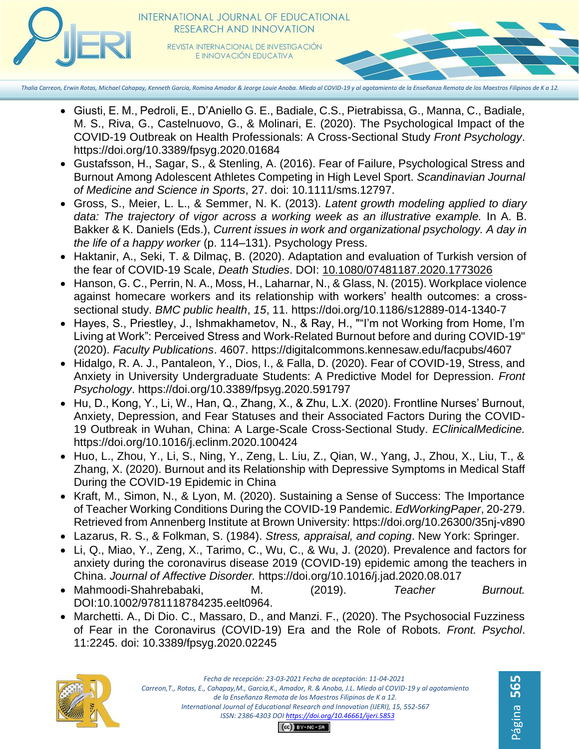

**INTERNATIONAL JOURNAL OF EDUCATIONAL** RESEARCH AND INNOVATION REVISTA INTERNACIONAL DE INVESTIGACIÓN E INNOVACIÓN EDUCATIVA

- Giusti, E. M., Pedroli, E., D'Aniello G. E., Badiale, C.S., Pietrabissa, G., Manna, C., Badiale, M. S., Riva, G., Castelnuovo, G., & Molinari, E. (2020). The Psychological Impact of the COVID-19 Outbreak on Health Professionals: A Cross-Sectional Study *Front Psychology*. <https://doi.org/10.3389/fpsyg.2020.01684>
- Gustafsson, H., Sagar, S., & Stenling, A. (2016). Fear of Failure, Psychological Stress and Burnout Among Adolescent Athletes Competing in High Level Sport. *Scandinavian Journal of Medicine and Science in Sports*, 27. doi: 10.1111/sms.12797.
- Gross, S., Meier, L. L., & Semmer, N. K. (2013). *Latent growth modeling applied to diary data: The trajectory of vigor across a working week as an illustrative example.* In A. B. Bakker & K. Daniels (Eds.), *Current issues in work and organizational psychology. A day in the life of a happy worker* (p. 114–131). Psychology Press.
- Haktanir, A., Seki, T. & Dilmaç, B. (2020). Adaptation and evaluation of Turkish version of the fear of COVID-19 Scale, *Death Studies*. DOI: [10.1080/07481187.2020.1773026](https://doi.org/10.1080/07481187.2020.1773026)
- Hanson, G. C., Perrin, N. A., Moss, H., Laharnar, N., & Glass, N. (2015). Workplace violence against homecare workers and its relationship with workers' health outcomes: a crosssectional study. *BMC public health*, *15*, 11. https://doi.org/10.1186/s12889-014-1340-7
- Hayes, S., Priestley, J., Ishmakhametov, N., & Ray, H., ""I'm not Working from Home, I'm Living at Work": Perceived Stress and Work-Related Burnout before and during COVID-19" (2020). *Faculty Publications*. 4607. https://digitalcommons.kennesaw.edu/facpubs/4607
- Hidalgo, R. A. J., Pantaleon, Y., Dios, I., & Falla, D. (2020). Fear of COVID-19, Stress, and Anxiety in University Undergraduate Students: A Predictive Model for Depression. *Front Psychology*.<https://doi.org/10.3389/fpsyg.2020.591797>
- Hu, D., Kong, Y., Li, W., Han, Q., Zhang, X., & Zhu, L.X. (2020). Frontline Nurses' Burnout, Anxiety, Depression, and Fear Statuses and their Associated Factors During the COVID-19 Outbreak in Wuhan, China: A Large-Scale Cross-Sectional Study. *EClinicalMedicine.*  <https://doi.org/10.1016/j.eclinm.2020.100424>
- Huo, L., Zhou, Y., Li, S., Ning, Y., Zeng, L. Liu, Z., Qian, W., Yang, J., Zhou, X., Liu, T., & Zhang, X. (2020). Burnout and its Relationship with Depressive Symptoms in Medical Staff During the COVID-19 Epidemic in China
- Kraft, M., Simon, N., & Lyon, M. (2020). Sustaining a Sense of Success: The Importance of Teacher Working Conditions During the COVID-19 Pandemic. *EdWorkingPaper*, 20-279. Retrieved from Annenberg Institute at Brown University:<https://doi.org/10.26300/35nj-v890>
- Lazarus, R. S., & Folkman, S. (1984). *Stress, appraisal, and coping*. New York: Springer.
- Li, Q., Miao, Y., Zeng, X., Tarimo, C., Wu, C., & Wu, J. (2020). Prevalence and factors for anxiety during the coronavirus disease 2019 (COVID-19) epidemic among the teachers in China. *Journal of Affective Disorder.* <https://doi.org/10.1016/j.jad.2020.08.017>
- Mahmoodi-Shahrebabaki, M. (2019). *Teacher Burnout.*  DOI:10.1002/9781118784235.eelt0964.
- Marchetti. A., Di Dio. C., Massaro, D., and Manzi. F., (2020). The Psychosocial Fuzziness of Fear in the Coronavirus (COVID-19) Era and the Role of Robots. *Front. Psychol*. 11:2245. doi: 10.3389/fpsyg.2020.02245

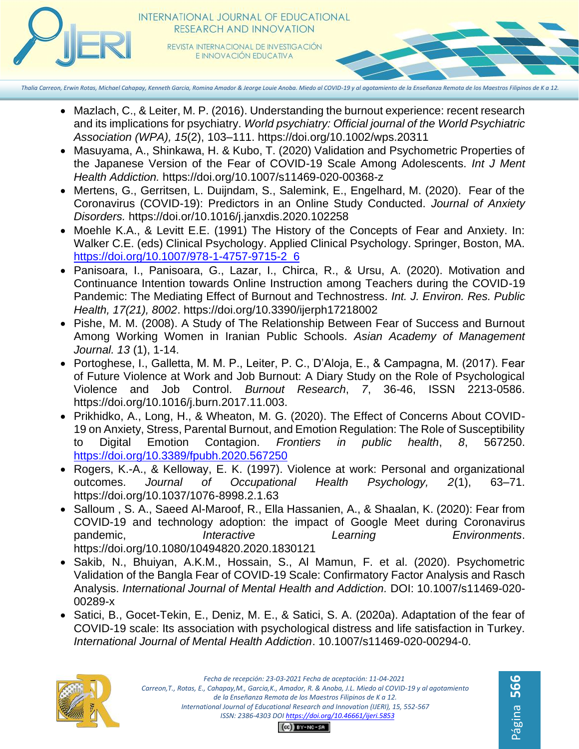

- Mazlach, C., & Leiter, M. P. (2016). Understanding the burnout experience: recent research and its implications for psychiatry. *World psychiatry: Official journal of the World Psychiatric Association (WPA), 15*(2), 103–111. https://doi.org/10.1002/wps.20311
- Masuyama, A., Shinkawa, H. & Kubo, T. (2020) Validation and Psychometric Properties of the Japanese Version of the Fear of COVID-19 Scale Among Adolescents. *Int J Ment Health Addiction.* https://doi.org/10.1007/s11469-020-00368-z
- Mertens, G., Gerritsen, L. Duijndam, S., Salemink, E., Engelhard, M. (2020). Fear of the Coronavirus (COVID-19): Predictors in an Online Study Conducted. *Journal of Anxiety Disorders.* https://doi.or/10.1016/j.janxdis.2020.102258
- Moehle K.A., & Levitt E.E. (1991) The History of the Concepts of Fear and Anxiety. In: Walker C.E. (eds) Clinical Psychology. Applied Clinical Psychology. Springer, Boston, MA. [https://doi.org/10.1007/978-1-4757-9715-2\\_6](https://doi.org/10.1007/978-1-4757-9715-2_6)
- Panisoara, I., Panisoara, G., Lazar, I., Chirca, R., & Ursu, A. (2020). Motivation and Continuance Intention towards Online Instruction among Teachers during the COVID-19 Pandemic: The Mediating Effect of Burnout and Technostress. *Int. J. Environ. Res. Public Health, 17(21), 8002*[.](https://doi.org/10.3390/ijerph17218002) <https://doi.org/10.3390/ijerph17218002>
- Pishe, M. M. (2008). A Study of The Relationship Between Fear of Success and Burnout Among Working Women in Iranian Public Schools. *Asian Academy of Management Journal. 13* (1), 1-14.
- Portoghese, I., Galletta, M. M. P., Leiter, P. C., D'Aloja, E., & Campagna, M. (2017). Fear of Future Violence at Work and Job Burnout: A Diary Study on the Role of Psychological Violence and Job Control. *Burnout Research*, *7*, 36-46, ISSN 2213-0586. https://doi.org/10.1016/j.burn.2017.11.003.
- Prikhidko, A., Long, H., & Wheaton, M. G. (2020). The Effect of Concerns About COVID-19 on Anxiety, Stress, Parental Burnout, and Emotion Regulation: The Role of Susceptibility to Digital Emotion Contagion. *Frontiers in public health*, *8*, 567250. <https://doi.org/10.3389/fpubh.2020.567250>
- Rogers, K.-A., & Kelloway, E. K. (1997). Violence at work: Personal and organizational outcomes. *Journal of Occupational Health Psychology, 2*(1), 63–71. [https://doi.org/10.1037/1076-8998.2.1.63](https://psycnet.apa.org/doi/10.1037/1076-8998.2.1.63)
- Salloum , S. A., Saeed Al-Maroof, R., Ella Hassanien, A., & Shaalan, K. (2020): Fear from COVID-19 and technology adoption: the impact of Google Meet during Coronavirus pandemic, *Interactive Learning Environments*. https://doi.org/10.1080/10494820.2020.1830121
- Sakib, N., Bhuiyan, A.K.M., Hossain, S., Al Mamun, F. et al. (2020). Psychometric Validation of the Bangla Fear of COVID-19 Scale: Confirmatory Factor Analysis and Rasch Analysis. *[International Journal of Mental Health and Addiction.](https://www.researchgate.net/journal/International-Journal-of-Mental-Health-and-Addiction-1557-1882)* DOI: [10.1007/s11469-020-](https://www.researchgate.net/deref/https%3A%2F%2Flink.springer.com%2Farticle%2F10.1007%2Fs11469-020-00289-x) [00289-x](https://www.researchgate.net/deref/https%3A%2F%2Flink.springer.com%2Farticle%2F10.1007%2Fs11469-020-00289-x)
- Satici, B., Gocet-Tekin, E., Deniz, M. E., & Satici, S. A. (2020a). Adaptation of the fear of COVID-19 scale: Its association with psychological distress and life satisfaction in Turkey. *International Journal of Mental Health Addiction*. 10.1007/s11469-020-00294-0.